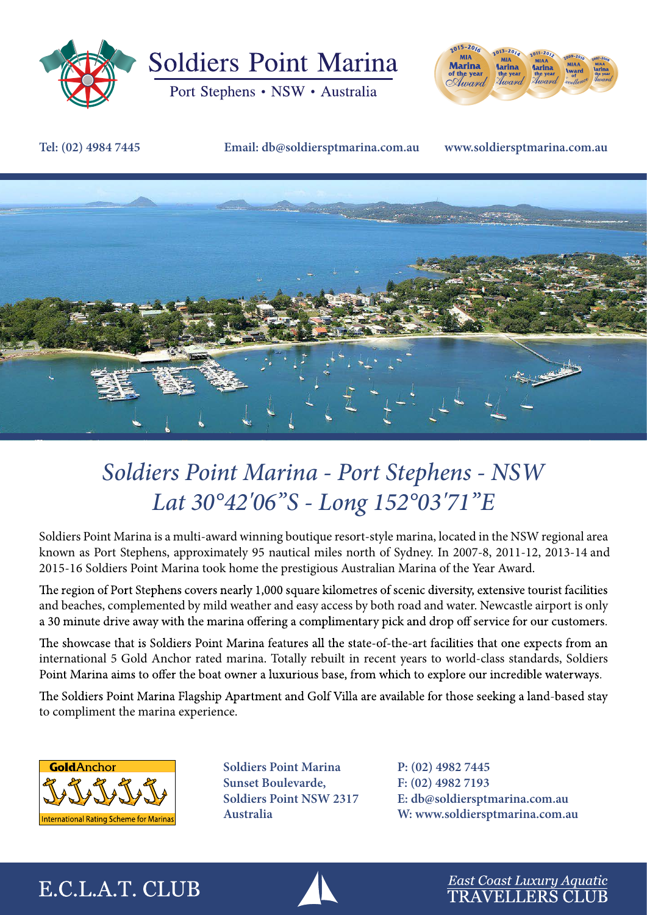

**Soldiers Point Marina** 

Port Stephens • NSW • Australia



#### **Tel: (02) 4984 7445 Email: db@soldiersptmarina.com.au www.soldiersptmarina.com.au**



# *Soldiers Point Marina - Port Stephens - NSW Lat 30°42'06''S - Long 152°03'71''E*

Soldiers Point Marina is a multi-award winning boutique resort-style marina, located in the NSW regional area known as Port Stephens, approximately 95 nautical miles north of Sydney. In 2007-8, 2011-12, 2013-14 and 2015-16 Soldiers Point Marina took home the prestigious Australian Marina of the Year Award.

The region of Port Stephens covers nearly 1,000 square kilometres of scenic diversity, extensive tourist facilities and beaches, complemented by mild weather and easy access by both road and water. Newcastle airport is only a 30 minute drive away with the marina offering a complimentary pick and drop off service for our customers.

The showcase that is Soldiers Point Marina features all the state-of-the-art facilities that one expects from an international 5 Gold Anchor rated marina. Totally rebuilt in recent years to world-class standards, Soldiers Point Marina aims to offer the boat owner a luxurious base, from which to explore our incredible waterways.

The Soldiers Point Marina Flagship Apartment and Golf Villa are available for those seeking a land-based stay to compliment the marina experience.



**Soldiers Point Marina Sunset Boulevarde, Soldiers Point NSW 2317 Australia**

**P: (02) 4982 7445 F: (02) 4982 7193 E: db@soldiersptmarina.com.au W: www.soldiersptmarina.com.au**

## E.C.L.A.T. CLUB



East Coast Luxury Aquatic **TRAVELLERS CLUB**